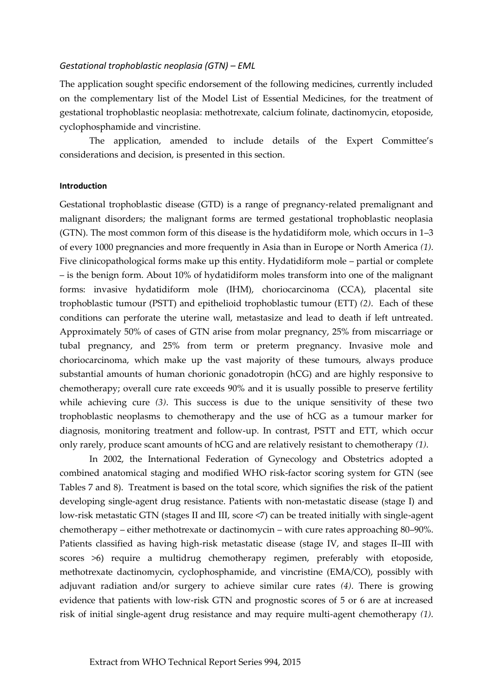#### *Gestational trophoblastic neoplasia (GTN) – EML*

The application sought specific endorsement of the following medicines, currently included on the complementary list of the Model List of Essential Medicines, for the treatment of gestational trophoblastic neoplasia: methotrexate, calcium folinate, dactinomycin, etoposide, cyclophosphamide and vincristine.

The application, amended to include details of the Expert Committee's considerations and decision, is presented in this section.

#### **Introduction**

Gestational trophoblastic disease (GTD) is a range of pregnancy-related premalignant and malignant disorders; the malignant forms are termed gestational trophoblastic neoplasia (GTN). The most common form of this disease is the hydatidiform mole, which occurs in 1–3 of every 1000 pregnancies and more frequently in Asia than in Europe or North America *(1)*. Five clinicopathological forms make up this entity. Hydatidiform mole – partial or complete – is the benign form. About 10% of hydatidiform moles transform into one of the malignant forms: invasive hydatidiform mole (IHM), choriocarcinoma (CCA), placental site trophoblastic tumour (PSTT) and epithelioid trophoblastic tumour (ETT) *(2)*. Each of these conditions can perforate the uterine wall, metastasize and lead to death if left untreated. Approximately 50% of cases of GTN arise from molar pregnancy, 25% from miscarriage or tubal pregnancy, and 25% from term or preterm pregnancy. Invasive mole and choriocarcinoma, which make up the vast majority of these tumours, always produce substantial amounts of human chorionic gonadotropin (hCG) and are highly responsive to chemotherapy; overall cure rate exceeds 90% and it is usually possible to preserve fertility while achieving cure *(3)*. This success is due to the unique sensitivity of these two trophoblastic neoplasms to chemotherapy and the use of hCG as a tumour marker for diagnosis, monitoring treatment and follow-up. In contrast, PSTT and ETT, which occur only rarely, produce scant amounts of hCG and are relatively resistant to chemotherapy *(1)*.

In 2002, the International Federation of Gynecology and Obstetrics adopted a combined anatomical staging and modified WHO risk-factor scoring system for GTN (see Tables 7 and 8). Treatment is based on the total score, which signifies the risk of the patient developing single-agent drug resistance. Patients with non-metastatic disease (stage I) and low-risk metastatic GTN (stages II and III, score <7) can be treated initially with single-agent chemotherapy – either methotrexate or dactinomycin – with cure rates approaching 80–90%. Patients classified as having high-risk metastatic disease (stage IV, and stages II–III with scores >6) require a multidrug chemotherapy regimen, preferably with etoposide, methotrexate dactinomycin, cyclophosphamide, and vincristine (EMA/CO), possibly with adjuvant radiation and/or surgery to achieve similar cure rates *(4)*. There is growing evidence that patients with low-risk GTN and prognostic scores of 5 or 6 are at increased risk of initial single-agent drug resistance and may require multi-agent chemotherapy *(1)*.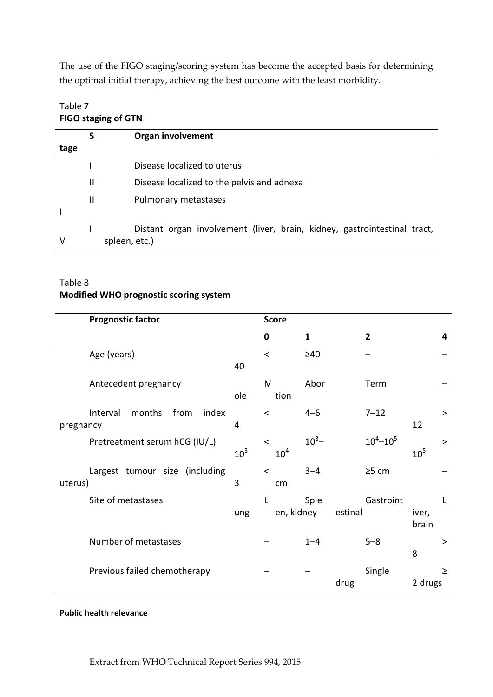The use of the FIGO staging/scoring system has become the accepted basis for determining the optimal initial therapy, achieving the best outcome with the least morbidity.

| 1.1  |   |                                                                          |  |  |
|------|---|--------------------------------------------------------------------------|--|--|
|      | S | Organ involvement                                                        |  |  |
| tage |   |                                                                          |  |  |
|      |   | Disease localized to uterus                                              |  |  |
|      | Ш | Disease localized to the pelvis and adnexa                               |  |  |
|      | Ш | Pulmonary metastases                                                     |  |  |
|      |   |                                                                          |  |  |
|      |   | Distant organ involvement (liver, brain, kidney, gastrointestinal tract, |  |  |
|      |   | spleen, etc.)                                                            |  |  |

# Table 7 **FIGO staging of GTN**

# Table 8 **Modified WHO prognostic scoring system**

| <b>Prognostic factor</b>                         |                 | <b>Score</b>               |                    |                      |                 |          |
|--------------------------------------------------|-----------------|----------------------------|--------------------|----------------------|-----------------|----------|
|                                                  |                 | $\mathbf 0$                | 1                  | $\overline{2}$       |                 | 4        |
| Age (years)                                      | 40              | $\prec$                    | $\geq 40$          |                      |                 |          |
| Antecedent pregnancy                             | ole             | $\mathsf{N}$<br>tion       | Abor               | Term                 |                 |          |
| months<br>index<br>Interval<br>from<br>pregnancy | 4               | $\lt$                      | $4 - 6$            | $7 - 12$             | 12              | $\geq$   |
| Pretreatment serum hCG (IU/L)                    | 10 <sup>3</sup> | $\prec$<br>10 <sup>4</sup> | $10^3 -$           | $10^4 - 10^5$        | 10 <sup>5</sup> | $\geq$   |
| Largest tumour size (including<br>uterus)        | 3               | $\prec$<br>cm              | $3 - 4$            | $\geq$ 5 cm          |                 |          |
| Site of metastases                               | ung             |                            | Sple<br>en, kidney | Gastroint<br>estinal | iver,<br>brain  | L        |
| Number of metastases                             |                 |                            | $1 - 4$            | $5 - 8$              | 8               | $\rm{>}$ |
| Previous failed chemotherapy                     |                 |                            |                    | Single<br>drug       | 2 drugs         | $\geq$   |

**Public health relevance**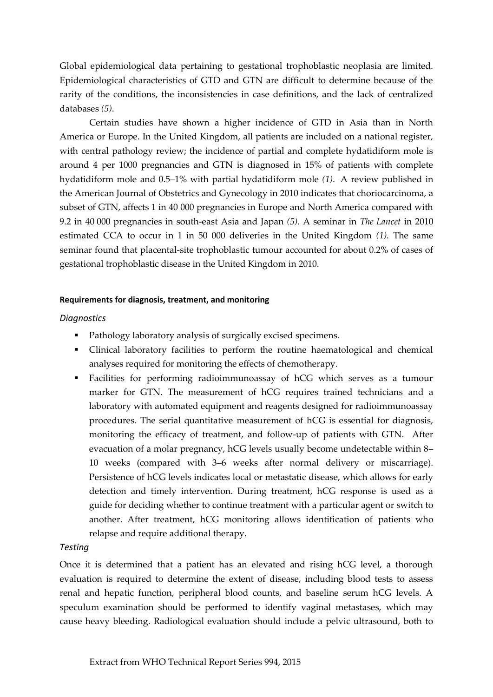Global epidemiological data pertaining to gestational trophoblastic neoplasia are limited. Epidemiological characteristics of GTD and GTN are difficult to determine because of the rarity of the conditions, the inconsistencies in case definitions, and the lack of centralized databases *(5)*.

Certain studies have shown a higher incidence of GTD in Asia than in North America or Europe. In the United Kingdom, all patients are included on a national register, with central pathology review; the incidence of partial and complete hydatidiform mole is around 4 per 1000 pregnancies and GTN is diagnosed in 15% of patients with complete hydatidiform mole and 0.5–1% with partial hydatidiform mole *(1)*. A review published in the American Journal of Obstetrics and Gynecology in 2010 indicates that choriocarcinoma, a subset of GTN, affects 1 in 40 000 pregnancies in Europe and North America compared with 9.2 in 40 000 pregnancies in south-east Asia and Japan *(5)*. A seminar in *The Lancet* in 2010 estimated CCA to occur in 1 in 50 000 deliveries in the United Kingdom *(1).* The same seminar found that placental-site trophoblastic tumour accounted for about 0.2% of cases of gestational trophoblastic disease in the United Kingdom in 2010.

### **Requirements for diagnosis, treatment, and monitoring**

### *Diagnostics*

- Pathology laboratory analysis of surgically excised specimens.
- Clinical laboratory facilities to perform the routine haematological and chemical analyses required for monitoring the effects of chemotherapy.
- Facilities for performing radioimmunoassay of hCG which serves as a tumour marker for GTN. The measurement of hCG requires trained technicians and a laboratory with automated equipment and reagents designed for radioimmunoassay procedures. The serial quantitative measurement of hCG is essential for diagnosis, monitoring the efficacy of treatment, and follow-up of patients with GTN. After evacuation of a molar pregnancy, hCG levels usually become undetectable within 8– 10 weeks (compared with 3–6 weeks after normal delivery or miscarriage). Persistence of hCG levels indicates local or metastatic disease, which allows for early detection and timely intervention. During treatment, hCG response is used as a guide for deciding whether to continue treatment with a particular agent or switch to another. After treatment, hCG monitoring allows identification of patients who relapse and require additional therapy.

### *Testing*

Once it is determined that a patient has an elevated and rising hCG level, a thorough evaluation is required to determine the extent of disease, including blood tests to assess renal and hepatic function, peripheral blood counts, and baseline serum hCG levels. A speculum examination should be performed to identify vaginal metastases, which may cause heavy bleeding. Radiological evaluation should include a pelvic ultrasound, both to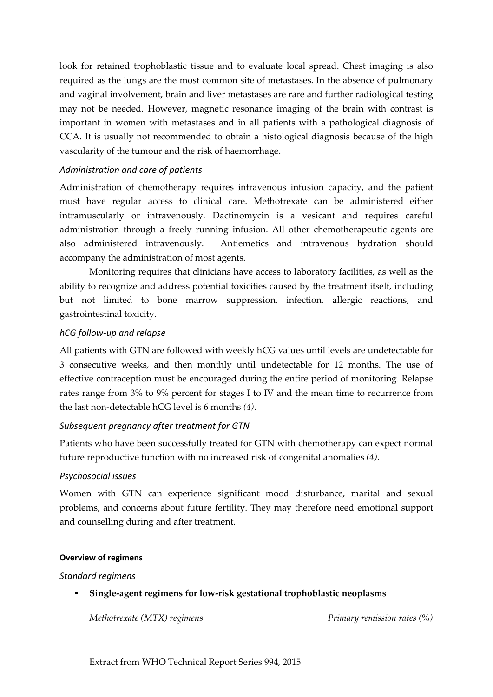look for retained trophoblastic tissue and to evaluate local spread. Chest imaging is also required as the lungs are the most common site of metastases. In the absence of pulmonary and vaginal involvement, brain and liver metastases are rare and further radiological testing may not be needed. However, magnetic resonance imaging of the brain with contrast is important in women with metastases and in all patients with a pathological diagnosis of CCA. It is usually not recommended to obtain a histological diagnosis because of the high vascularity of the tumour and the risk of haemorrhage.

# *Administration and care of patients*

Administration of chemotherapy requires intravenous infusion capacity, and the patient must have regular access to clinical care. Methotrexate can be administered either intramuscularly or intravenously. Dactinomycin is a vesicant and requires careful administration through a freely running infusion. All other chemotherapeutic agents are also administered intravenously. Antiemetics and intravenous hydration should accompany the administration of most agents.

Monitoring requires that clinicians have access to laboratory facilities, as well as the ability to recognize and address potential toxicities caused by the treatment itself, including but not limited to bone marrow suppression, infection, allergic reactions, and gastrointestinal toxicity.

# *hCG follow-up and relapse*

All patients with GTN are followed with weekly hCG values until levels are undetectable for 3 consecutive weeks, and then monthly until undetectable for 12 months. The use of effective contraception must be encouraged during the entire period of monitoring. Relapse rates range from 3% to 9% percent for stages I to IV and the mean time to recurrence from the last non-detectable hCG level is 6 months *(4)*.

# *Subsequent pregnancy after treatment for GTN*

Patients who have been successfully treated for GTN with chemotherapy can expect normal future reproductive function with no increased risk of congenital anomalies *(4)*.

# *Psychosocial issues*

Women with GTN can experience significant mood disturbance, marital and sexual problems, and concerns about future fertility. They may therefore need emotional support and counselling during and after treatment.

# **Overview of regimens**

# *Standard regimens*

**Single-agent regimens for low-risk gestational trophoblastic neoplasms** 

*Methotrexate (MTX) regimens Primary remission rates (%)*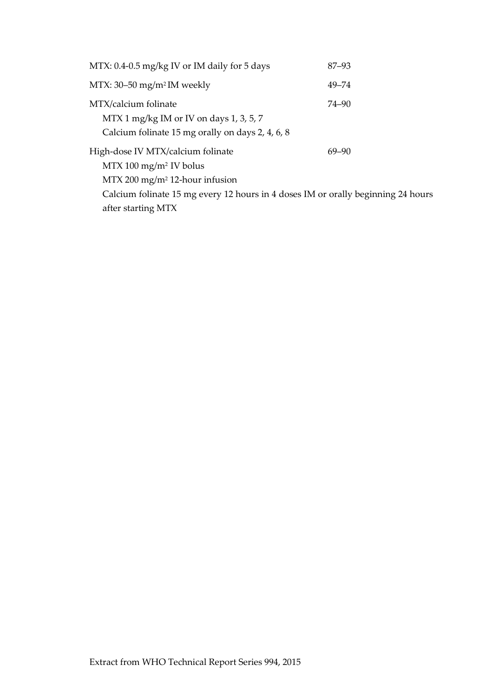| MTX: 0.4-0.5 mg/kg IV or IM daily for 5 days                                     | $87 - 93$ |
|----------------------------------------------------------------------------------|-----------|
| MTX: $30-50$ mg/m <sup>2</sup> IM weekly                                         | $49 - 74$ |
| MTX/calcium folinate                                                             | 74–90     |
| MTX 1 mg/kg IM or IV on days 1, 3, 5, 7                                          |           |
| Calcium folinate 15 mg orally on days 2, 4, 6, 8                                 |           |
| High-dose IV MTX/calcium folinate                                                | $69 - 90$ |
| $MTX$ 100 mg/m <sup>2</sup> IV bolus                                             |           |
| $MTX 200$ mg/m <sup>2</sup> 12-hour infusion                                     |           |
| Calcium folinate 15 mg every 12 hours in 4 doses IM or orally beginning 24 hours |           |
| after starting MTX                                                               |           |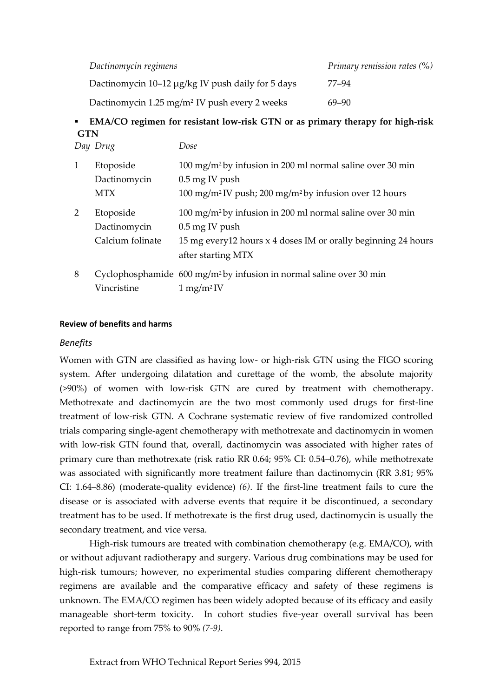| Dactinomycin regimens                                     | Primary remission rates $(\%)$ |
|-----------------------------------------------------------|--------------------------------|
| Dactinomycin 10–12 µg/kg IV push daily for 5 days         | 77–94                          |
| Dactinomycin 1.25 mg/m <sup>2</sup> IV push every 2 weeks | $69 - 90$                      |

# **EMA/CO regimen for resistant low-risk GTN or as primary therapy for high-risk GTN**

|   | Day Drug         | Dose                                                                            |
|---|------------------|---------------------------------------------------------------------------------|
| 1 | Etoposide        | 100 mg/m <sup>2</sup> by infusion in 200 ml normal saline over 30 min           |
|   | Dactinomycin     | $0.5$ mg IV push                                                                |
|   | <b>MTX</b>       | 100 mg/m <sup>2</sup> IV push; 200 mg/m <sup>2</sup> by infusion over 12 hours  |
| 2 | Etoposide        | 100 mg/m <sup>2</sup> by infusion in 200 ml normal saline over 30 min           |
|   | Dactinomycin     | $0.5$ mg IV push                                                                |
|   | Calcium folinate | 15 mg every 12 hours x 4 doses IM or orally beginning 24 hours                  |
|   |                  | after starting MTX                                                              |
| 8 |                  | Cyclophosphamide 600 mg/m <sup>2</sup> by infusion in normal saline over 30 min |
|   | Vincristine      | $1$ mg/m <sup>2</sup> IV                                                        |

# **Review of benefits and harms**

# *Benefits*

Women with GTN are classified as having low- or high-risk GTN using the FIGO scoring system. After undergoing dilatation and curettage of the womb, the absolute majority (>90%) of women with low-risk GTN are cured by treatment with chemotherapy. Methotrexate and dactinomycin are the two most commonly used drugs for first-line treatment of low-risk GTN. A Cochrane systematic review of five randomized controlled trials comparing single-agent chemotherapy with methotrexate and dactinomycin in women with low-risk GTN found that, overall, dactinomycin was associated with higher rates of primary cure than methotrexate (risk ratio RR 0.64; 95% CI: 0.54–0.76), while methotrexate was associated with significantly more treatment failure than dactinomycin (RR 3.81; 95% CI: 1.64–8.86) (moderate-quality evidence) *(6)*. If the first-line treatment fails to cure the disease or is associated with adverse events that require it be discontinued, a secondary treatment has to be used. If methotrexate is the first drug used, dactinomycin is usually the secondary treatment, and vice versa.

High-risk tumours are treated with combination chemotherapy (e.g. EMA/CO), with or without adjuvant radiotherapy and surgery. Various drug combinations may be used for high-risk tumours; however, no experimental studies comparing different chemotherapy regimens are available and the comparative efficacy and safety of these regimens is unknown. The EMA/CO regimen has been widely adopted because of its efficacy and easily manageable short-term toxicity. In cohort studies five-year overall survival has been reported to range from 75% to 90% *(7-9)*.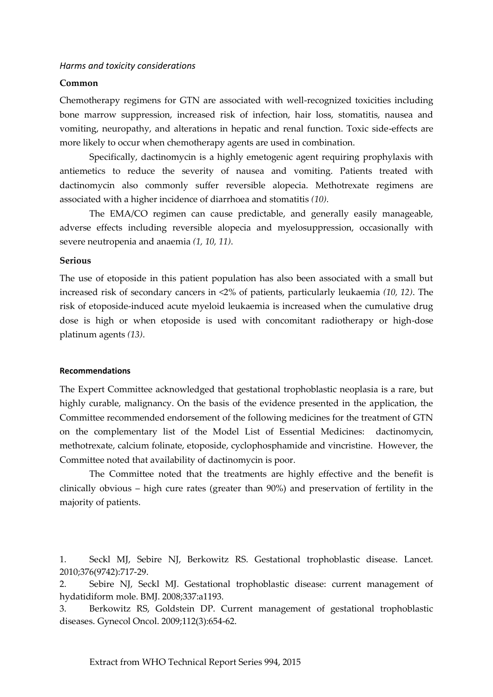#### *Harms and toxicity considerations*

#### **Common**

Chemotherapy regimens for GTN are associated with well-recognized toxicities including bone marrow suppression, increased risk of infection, hair loss, stomatitis, nausea and vomiting, neuropathy, and alterations in hepatic and renal function. Toxic side-effects are more likely to occur when chemotherapy agents are used in combination.

Specifically, dactinomycin is a highly emetogenic agent requiring prophylaxis with antiemetics to reduce the severity of nausea and vomiting. Patients treated with dactinomycin also commonly suffer reversible alopecia. Methotrexate regimens are associated with a higher incidence of diarrhoea and stomatitis *(10)*.

The EMA/CO regimen can cause predictable, and generally easily manageable, adverse effects including reversible alopecia and myelosuppression, occasionally with severe neutropenia and anaemia *(1, 10, 11)*.

### **Serious**

The use of etoposide in this patient population has also been associated with a small but increased risk of secondary cancers in <2% of patients, particularly leukaemia *(10, 12)*. The risk of etoposide-induced acute myeloid leukaemia is increased when the cumulative drug dose is high or when etoposide is used with concomitant radiotherapy or high-dose platinum agents *(13)*.

#### **Recommendations**

The Expert Committee acknowledged that gestational trophoblastic neoplasia is a rare, but highly curable, malignancy. On the basis of the evidence presented in the application, the Committee recommended endorsement of the following medicines for the treatment of GTN on the complementary list of the Model List of Essential Medicines: dactinomycin, methotrexate, calcium folinate, etoposide, cyclophosphamide and vincristine. However, the Committee noted that availability of dactinomycin is poor.

The Committee noted that the treatments are highly effective and the benefit is clinically obvious – high cure rates (greater than 90%) and preservation of fertility in the majority of patients.

1. Seckl MJ, Sebire NJ, Berkowitz RS. Gestational trophoblastic disease. Lancet. 2010;376(9742):717-29.

2. Sebire NJ, Seckl MJ. Gestational trophoblastic disease: current management of hydatidiform mole. BMJ. 2008;337:a1193.

3. Berkowitz RS, Goldstein DP. Current management of gestational trophoblastic diseases. Gynecol Oncol. 2009;112(3):654-62.